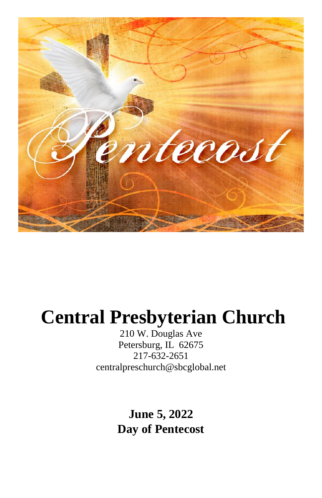

# **Central Presbyterian Church**

210 W. Douglas Ave Petersburg, IL 62675 217-632-2651 [centralpreschurch@sbcglobal.net](mailto:centralpreschurch@sbcglobal.net)

> **June 5, 2022 Day of Pentecost**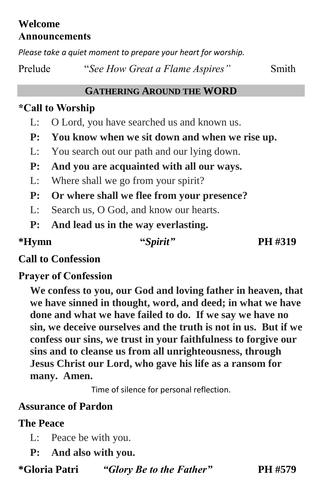## **Welcome Announcements**

*Please take a quiet moment to prepare your heart for worship.*

Prelude "*See How Great a Flame Aspires*" Smith

#### **GATHERING AROUND THE WORD**

## **\*Call to Worship**

- L: O Lord, you have searched us and known us.
- **P: You know when we sit down and when we rise up.**
- L: You search out our path and our lying down.
- **P: And you are acquainted with all our ways.**
- L: Where shall we go from your spirit?
- **P: Or where shall we flee from your presence?**
- L: Search us, O God, and know our hearts.
- **P: And lead us in the way everlasting.**

**\*Hymn "***Spirit"* **PH #319**

## **Call to Confession**

## **Prayer of Confession**

**We confess to you, our God and loving father in heaven, that we have sinned in thought, word, and deed; in what we have done and what we have failed to do. If we say we have no sin, we deceive ourselves and the truth is not in us. But if we confess our sins, we trust in your faithfulness to forgive our sins and to cleanse us from all unrighteousness, through Jesus Christ our Lord, who gave his life as a ransom for many. Amen.**

Time of silence for personal reflection.

## **Assurance of Pardon**

#### **The Peace**

- L: Peace be with you.
- **P: And also with you.**

**\*Gloria Patri** *"Glory Be to the Father"* **PH #579**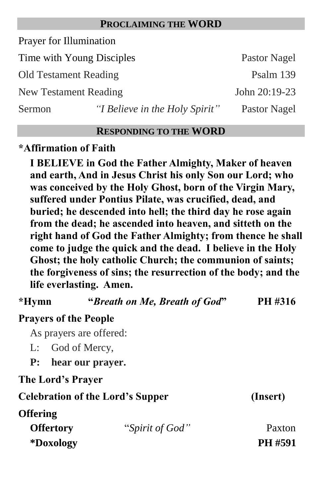#### **PROCLAIMING THE WORD**

Prayer for Illumination

Time with Young Disciples Pastor Nagel Old Testament Reading Psalm 139 New Testament Reading John 20:19-23

Sermon *"I Believe in the Holy Spirit"* Pastor Nagel

#### **RESPONDING TO THE WORD**

#### **\*Affirmation of Faith**

**I BELIEVE in God the Father Almighty, Maker of heaven and earth, And in Jesus Christ his only Son our Lord; who was conceived by the Holy Ghost, born of the Virgin Mary, suffered under Pontius Pilate, was crucified, dead, and buried; he descended into hell; the third day he rose again from the dead; he ascended into heaven, and sitteth on the right hand of God the Father Almighty; from thence he shall come to judge the quick and the dead. I believe in the Holy Ghost; the holy catholic Church; the communion of saints; the forgiveness of sins; the resurrection of the body; and the life everlasting. Amen.**

| *Hymn                        | "Breath on Me, Breath of God" | PH #316 |
|------------------------------|-------------------------------|---------|
| <b>Prayers of the People</b> |                               |         |
|                              |                               |         |

As prayers are offered:

- L: God of Mercy,
- **P: hear our prayer.**

**The Lord's Prayer** 

**Celebration of the Lord's Supper (Insert) Offering Offertory** "*Spirit of God"* Paxton **\*Doxology PH #591**